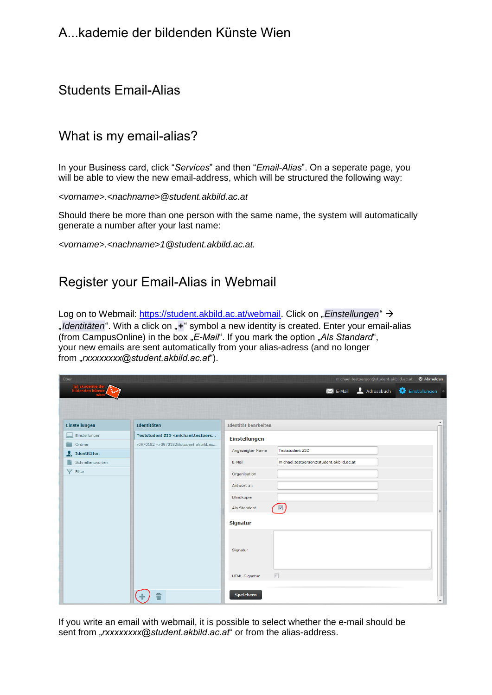## A...kademie der bildenden Künste Wien

## Students Email-Alias

#### What is my email-alias?

In your Business card, click "*Services*" and then "*Email-Alias*". On a seperate page, you will be able to view the new email-address, which will be structured the following way:

*<vorname>.<nachname>@student.akbild.ac.at* 

Should there be more than one person with the same name, the system will automatically generate a number after your last name:

*<vorname>.<nachname[>1@student.akbild.ac.at.](mailto:1@student.akbild.ac.at)* 

#### Register you[r Email-Alias in Webmail](https://student.akbild.ac.at/webmail)

Log on to Webmail: https://student.akbild.ac.at/webmail. Click on "Einstellungen" > "*Identitäten*". With a click on "*+*" symbol a new identity is created. Enter your email-alias (from CampusOnline) in the box "*E-Mail*". If you mark the option "Als Standard", your new emails are sent automatically from your alias-adress (and no longer from "*rxxxxxxxx@student.akbild.ac.at*").

| <b>Über</b>               |                                                                                                                                |                                                    |
|---------------------------|--------------------------------------------------------------------------------------------------------------------------------|----------------------------------------------------|
|                           |                                                                                                                                | Adressbuch<br>Einstellungen<br>$\mathsf{M}$ E-Mail |
|                           |                                                                                                                                |                                                    |
|                           |                                                                                                                                |                                                    |
| <b>Einstellungen</b>      | Identitäten                                                                                                                    | Identität bearbeiten                               |
| Einstellungen             | Teststudent ZID <michael.testpers< td=""><td><b>Einstellungen</b></td></michael.testpers<>                                     | <b>Einstellungen</b>                               |
| ≘<br>Ordner               | r0970182 <r0970182@student.akbild.ac< td=""><td>Angezeigter Name<br/><b>Teststudent ZID</b></td></r0970182@student.akbild.ac<> | Angezeigter Name<br><b>Teststudent ZID</b>         |
| $\frac{1}{2}$ Identitäten |                                                                                                                                |                                                    |
| n<br>Schnellantworten     |                                                                                                                                | michael.testperson@student.akbild.ac.at<br>E-Mail  |
| Y Filter                  |                                                                                                                                | Organisation                                       |
|                           |                                                                                                                                | Antwort an                                         |
|                           |                                                                                                                                |                                                    |
|                           |                                                                                                                                | Blindkopie                                         |
|                           |                                                                                                                                | $\sqrt{2}$<br>Als Standard<br>티                    |
|                           |                                                                                                                                | <b>Signatur</b>                                    |
|                           |                                                                                                                                | Signatur                                           |
|                           |                                                                                                                                | $\Box$<br>HTML-Signatur                            |
|                           |                                                                                                                                | Speichern<br>$\overline{\phantom{a}}$              |

If you write an email with webmail, it is possible to select whether the e-mail should be sent from "*rxxxxxxx@student.akbild.ac.at*" or from the alias-address.